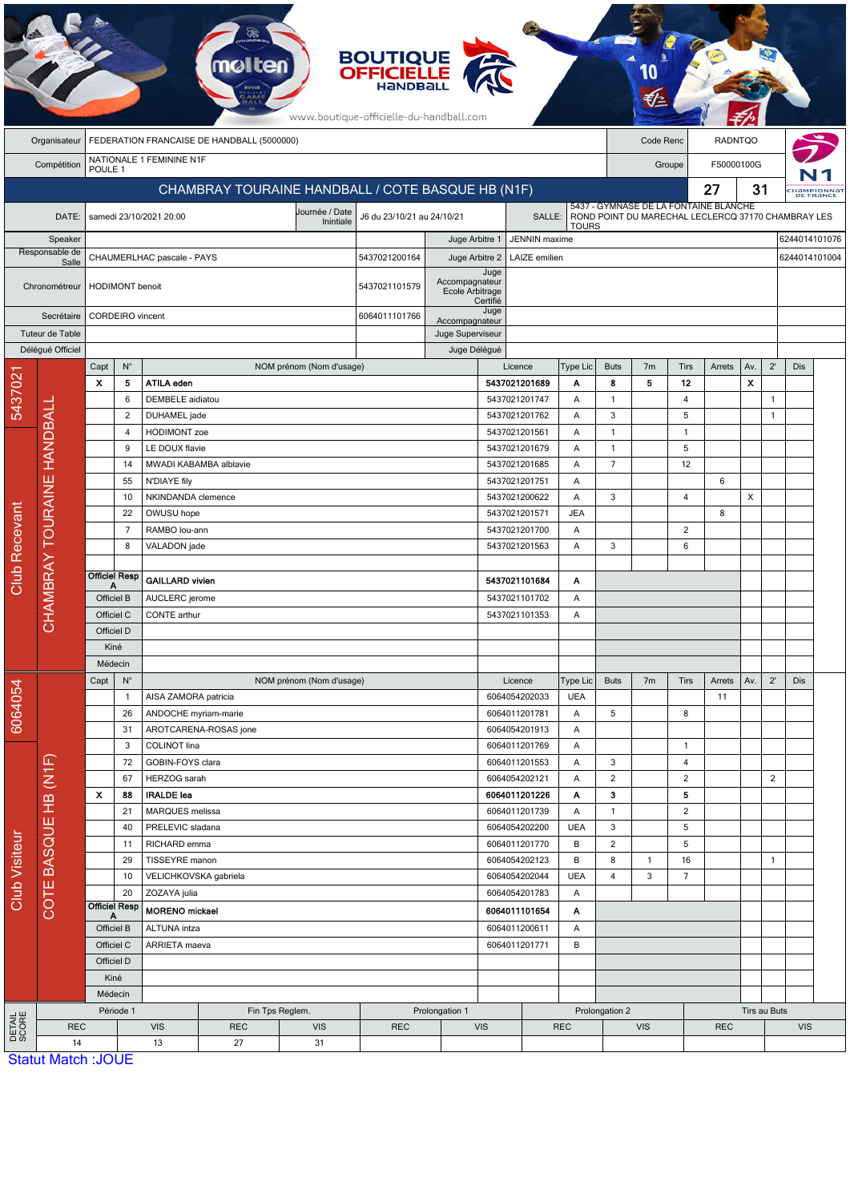|                                                                         | <b>BOUTIQUE<br/>OFFICIELLE</b><br>www.boutique-officielle-du-handball.com |                                                        |                                     |                                                      |                       |                          |                            |                                |                                     |                                |                      |                                |                |                |                                                    |     |                |               |                          |  |
|-------------------------------------------------------------------------|---------------------------------------------------------------------------|--------------------------------------------------------|-------------------------------------|------------------------------------------------------|-----------------------|--------------------------|----------------------------|--------------------------------|-------------------------------------|--------------------------------|----------------------|--------------------------------|----------------|----------------|----------------------------------------------------|-----|----------------|---------------|--------------------------|--|
|                                                                         | Organisateur                                                              | FEDERATION FRANCAISE DE HANDBALL (5000000)             |                                     |                                                      |                       |                          |                            |                                |                                     |                                |                      |                                | Code Renc      |                | <b>RADNTQO</b>                                     |     |                |               |                          |  |
|                                                                         | Compétition                                                               | NATIONALE 1 FEMININE N1F                               |                                     |                                                      |                       |                          |                            |                                |                                     |                                | F50000100G<br>Groupe |                                |                |                |                                                    |     |                |               |                          |  |
| POULE <sub>1</sub><br>CHAMBRAY TOURAINE HANDBALL / COTE BASQUE HB (N1F) |                                                                           |                                                        |                                     |                                                      |                       |                          |                            |                                |                                     |                                |                      |                                |                | 27             | 31                                                 |     |                |               |                          |  |
|                                                                         |                                                                           |                                                        |                                     |                                                      |                       |                          |                            |                                |                                     |                                |                      |                                |                |                | 5437 - GYMNASE DE LA FONTAINE BLANCHE              |     |                |               | :HaMPIONNaT<br>DE FRANCE |  |
| DATE:                                                                   |                                                                           | Journée / Date<br>samedi 23/10/2021 20:00<br>Inintiale |                                     |                                                      |                       |                          | J6 du 23/10/21 au 24/10/21 |                                | SALLE:                              |                                | <b>TOURS</b>         |                                |                |                | ROND POINT DU MARECHAL LECLERCQ 37170 CHAMBRAY LES |     |                |               |                          |  |
| Speaker                                                                 |                                                                           |                                                        |                                     |                                                      |                       |                          |                            | Juge Arbitre 1                 | <b>JENNIN</b> maxime                |                                |                      |                                |                |                |                                                    |     |                | 6244014101076 |                          |  |
|                                                                         | Responsable de<br>Salle                                                   | CHAUMERLHAC pascale - PAYS                             |                                     |                                                      |                       |                          | 5437021200164              |                                | LAIZE emilien<br>Juge Arbitre 2     |                                |                      |                                |                |                |                                                    |     |                | 6244014101004 |                          |  |
|                                                                         |                                                                           | <b>HODIMONT</b> benoit                                 |                                     |                                                      |                       |                          |                            | Accompagnateur                 | Juge                                |                                |                      |                                |                |                |                                                    |     |                |               |                          |  |
|                                                                         | Chronométreur                                                             |                                                        |                                     |                                                      |                       |                          | 5437021101579              | Ecole Arbitrage                | Certifié                            |                                |                      |                                |                |                |                                                    |     |                |               |                          |  |
|                                                                         | Secrétaire                                                                | CORDEIRO vincent                                       |                                     |                                                      |                       |                          | 6064011101766              | Accompagnateur                 | Juge                                |                                |                      |                                |                |                |                                                    |     |                |               |                          |  |
|                                                                         | Tuteur de Table                                                           |                                                        |                                     |                                                      |                       |                          |                            | Juge Superviseur               |                                     |                                |                      |                                |                |                |                                                    |     |                |               |                          |  |
|                                                                         | Délégué Officiel                                                          |                                                        |                                     |                                                      |                       |                          |                            | Juge Délégué                   |                                     |                                |                      |                                |                |                |                                                    |     |                |               |                          |  |
|                                                                         |                                                                           | $\mathsf{N}^\circ$<br>Capt                             |                                     |                                                      |                       | NOM prénom (Nom d'usage) |                            |                                |                                     | Licence<br>Type Lic            |                      | <b>Buts</b>                    | 7 <sub>m</sub> | Tirs           | Arrets                                             | Av. | $2^{\prime}$   | Dis           |                          |  |
| 5437021                                                                 |                                                                           | $\boldsymbol{\mathsf{x}}$                              | 5                                   | <b>ATILA eden</b>                                    |                       |                          |                            |                                | 5437021201689                       |                                | А                    | 8                              | 5              | 12             |                                                    | X   |                |               |                          |  |
|                                                                         |                                                                           |                                                        | 6                                   | DEMBELE aidiatou                                     |                       |                          |                            |                                | 5437021201747                       |                                | Α                    | $\mathbf{1}$                   |                | $\overline{4}$ |                                                    |     | 1              |               |                          |  |
|                                                                         |                                                                           |                                                        | $\overline{2}$                      | DUHAMEL jade                                         |                       |                          |                            |                                | 5437021201762                       |                                | Α                    | 3                              |                | 5              |                                                    |     | 1              |               |                          |  |
|                                                                         |                                                                           |                                                        | 4                                   | <b>HODIMONT</b> zoe                                  |                       |                          |                            |                                | 5437021201561                       |                                | Α                    | $\mathbf{1}$                   |                | $\mathbf{1}$   |                                                    |     |                |               |                          |  |
|                                                                         |                                                                           | 9<br>14                                                |                                     | LE DOUX flavie                                       |                       |                          |                            |                                | 5437021201679                       |                                | Α                    | $\mathbf{1}$<br>$\overline{7}$ |                | 5              |                                                    |     |                |               |                          |  |
|                                                                         |                                                                           |                                                        |                                     | MWADI KABAMBA alblavie                               |                       |                          |                            |                                | 5437021201685                       |                                | Α                    |                                |                | 12             |                                                    |     |                |               |                          |  |
|                                                                         |                                                                           |                                                        | 55<br>10                            | N'DIAYE fily                                         |                       |                          |                            |                                | 5437021201751<br>Α<br>5437021200622 |                                |                      | 3                              |                | $\overline{4}$ | 6                                                  | X   |                |               |                          |  |
|                                                                         | CHAMBRAY TOURAINE HANDBALI                                                |                                                        | 22                                  | NKINDANDA clemence                                   |                       |                          |                            |                                | Α<br><b>JEA</b>                     |                                |                      |                                |                | 8              |                                                    |     |                |               |                          |  |
|                                                                         |                                                                           |                                                        | $\overline{7}$                      | OWUSU hope<br>RAMBO lou-ann                          |                       |                          |                            | 5437021201571<br>5437021201700 |                                     | Α                              |                      |                                | 2              |                |                                                    |     |                |               |                          |  |
|                                                                         |                                                                           |                                                        | 8                                   | VALADON jade                                         |                       |                          |                            |                                | 5437021201563                       |                                | Α                    | 3                              |                | 6              |                                                    |     |                |               |                          |  |
|                                                                         |                                                                           |                                                        |                                     |                                                      |                       |                          |                            |                                |                                     |                                |                      |                                |                |                |                                                    |     |                |               |                          |  |
| Club Recevant                                                           |                                                                           | <b>Officiel Resp</b>                                   |                                     | <b>GAILLARD vivien</b>                               |                       |                          |                            | 5437021101684<br>Α             |                                     |                                |                      |                                |                |                |                                                    |     |                |               |                          |  |
|                                                                         |                                                                           | Officiel B                                             |                                     | AUCLERC jerome                                       |                       |                          |                            |                                | 5437021101702                       |                                | Α                    |                                |                |                |                                                    |     |                |               |                          |  |
|                                                                         |                                                                           | Officiel C                                             |                                     | CONTE arthur                                         |                       |                          |                            | 5437021101353                  |                                     | Α                              |                      |                                |                |                |                                                    |     |                |               |                          |  |
|                                                                         |                                                                           | Officiel D                                             |                                     |                                                      |                       |                          |                            |                                |                                     |                                |                      |                                |                |                |                                                    |     |                |               |                          |  |
|                                                                         |                                                                           | Kiné                                                   |                                     |                                                      |                       |                          |                            |                                |                                     |                                |                      |                                |                |                |                                                    |     |                |               |                          |  |
|                                                                         |                                                                           | Médecin                                                |                                     |                                                      |                       |                          |                            |                                |                                     |                                |                      |                                |                |                |                                                    |     |                |               |                          |  |
|                                                                         |                                                                           | $N^{\circ}$<br>Capt                                    |                                     |                                                      |                       | NOM prénom (Nom d'usage) |                            | Licence                        |                                     |                                |                      | <b>Buts</b>                    | 7 <sub>m</sub> | Tirs           | Arrets                                             | Av. | $2^{\prime}$   | <b>Dis</b>    |                          |  |
| 6064054                                                                 |                                                                           |                                                        | $\mathbf{1}$                        | AISA ZAMORA patricia                                 |                       |                          |                            |                                | 6064054202033                       |                                | <b>UEA</b>           |                                |                |                | 11                                                 |     |                |               |                          |  |
|                                                                         |                                                                           |                                                        | 26<br>ANDOCHE myriam-marie          |                                                      |                       | 6064011201781            |                            | Α                              | 5                                   |                                | 8                    |                                |                |                |                                                    |     |                |               |                          |  |
|                                                                         |                                                                           | 31                                                     |                                     |                                                      | AROTCARENA-ROSAS jone |                          |                            |                                | 6064054201913<br>Α                  |                                |                      |                                |                |                |                                                    |     |                |               |                          |  |
|                                                                         |                                                                           |                                                        | 3<br>COLINOT lina                   |                                                      |                       |                          |                            | 6064011201769                  |                                     |                                |                      | $\mathbf{1}$                   |                |                |                                                    |     |                |               |                          |  |
|                                                                         |                                                                           |                                                        | 72                                  | GOBIN-FOYS clara                                     |                       |                          |                            |                                | 6064011201553                       |                                | Α                    | 3                              |                | 4              |                                                    |     |                |               |                          |  |
|                                                                         |                                                                           |                                                        | 67                                  |                                                      | HERZOG sarah          |                          |                            |                                | 6064054202121                       |                                | Α                    | $\overline{2}$                 |                | $\overline{2}$ |                                                    |     | $\overline{2}$ |               |                          |  |
|                                                                         |                                                                           | x                                                      | 88                                  | <b>IRALDE</b> lea                                    |                       |                          |                            |                                | 6064011201226                       |                                | Α<br>Α               | з                              |                | 5              |                                                    |     |                |               |                          |  |
|                                                                         |                                                                           |                                                        | 21                                  | MARQUES melissa                                      |                       |                          |                            |                                |                                     | 6064011201739<br>6064054202200 |                      | $\mathbf{1}$                   |                | $\overline{2}$ |                                                    |     |                |               |                          |  |
|                                                                         | COTE BASQUE HB (N1F)                                                      |                                                        | 40                                  | PRELEVIC sladana                                     |                       |                          |                            |                                |                                     |                                |                      | 3                              |                | 5              |                                                    |     |                |               |                          |  |
|                                                                         |                                                                           |                                                        | RICHARD emma<br>6064011201770<br>11 |                                                      |                       |                          |                            |                                | В                                   | $\overline{c}$                 |                      | 5                              |                |                |                                                    |     |                |               |                          |  |
|                                                                         |                                                                           |                                                        | 29                                  | TISSEYRE manon                                       |                       |                          |                            |                                | 6064054202123                       |                                | В                    | 8                              | $\mathbf{1}$   | 16             |                                                    | 1   |                |               |                          |  |
| Club Visiteur                                                           |                                                                           |                                                        | 10<br>20                            | VELICHKOVSKA gabriela                                |                       |                          |                            |                                | 6064054202044                       |                                | <b>UEA</b><br>Α      | 4                              | 3              | $\overline{7}$ |                                                    |     |                |               |                          |  |
|                                                                         |                                                                           |                                                        | ZOZAYA julia<br>Officiel Resp       |                                                      |                       |                          | 6064054201783              |                                |                                     |                                |                      |                                |                |                |                                                    |     |                |               |                          |  |
|                                                                         |                                                                           | Α                                                      |                                     | <b>MORENO</b> mickael                                |                       |                          |                            | 6064011101654                  |                                     | Α                              |                      |                                |                |                |                                                    |     |                |               |                          |  |
|                                                                         |                                                                           | Officiel B<br>Officiel C<br>Officiel D                 |                                     | ALTUNA intza                                         |                       |                          |                            |                                | 6064011200611                       |                                |                      | Α<br>B                         |                |                |                                                    |     |                |               |                          |  |
|                                                                         |                                                                           |                                                        |                                     | ARRIETA maeva                                        |                       |                          |                            |                                | 6064011201771                       |                                |                      |                                |                |                |                                                    |     |                |               |                          |  |
|                                                                         |                                                                           | Kiné                                                   |                                     |                                                      |                       |                          |                            |                                |                                     |                                |                      |                                |                |                |                                                    |     |                |               |                          |  |
|                                                                         |                                                                           |                                                        |                                     |                                                      |                       |                          |                            |                                |                                     |                                |                      |                                |                |                |                                                    |     |                |               |                          |  |
| DETAIL<br>SCORE                                                         |                                                                           | Médecin<br>Période 1                                   |                                     | Fin Tps Reglem.                                      |                       |                          |                            | Prolongation 1                 |                                     |                                |                      | Prolongation 2                 |                |                |                                                    |     | Tirs au Buts   |               |                          |  |
|                                                                         | <b>REC</b>                                                                |                                                        |                                     | <b>VIS</b><br><b>REC</b><br><b>VIS</b><br><b>REC</b> |                       |                          |                            | <b>VIS</b><br><b>REC</b>       |                                     |                                |                      | <b>VIS</b>                     |                |                | <b>REC</b>                                         |     | <b>VIS</b>     |               |                          |  |
|                                                                         | 14                                                                        |                                                        |                                     | 13                                                   | 27                    | 31                       |                            |                                |                                     |                                |                      |                                |                |                |                                                    |     |                |               |                          |  |
|                                                                         | Statut Match : IOLIE                                                      |                                                        |                                     |                                                      |                       |                          |                            |                                |                                     |                                |                      |                                |                |                |                                                    |     |                |               |                          |  |

**Statut Match: JOUE**